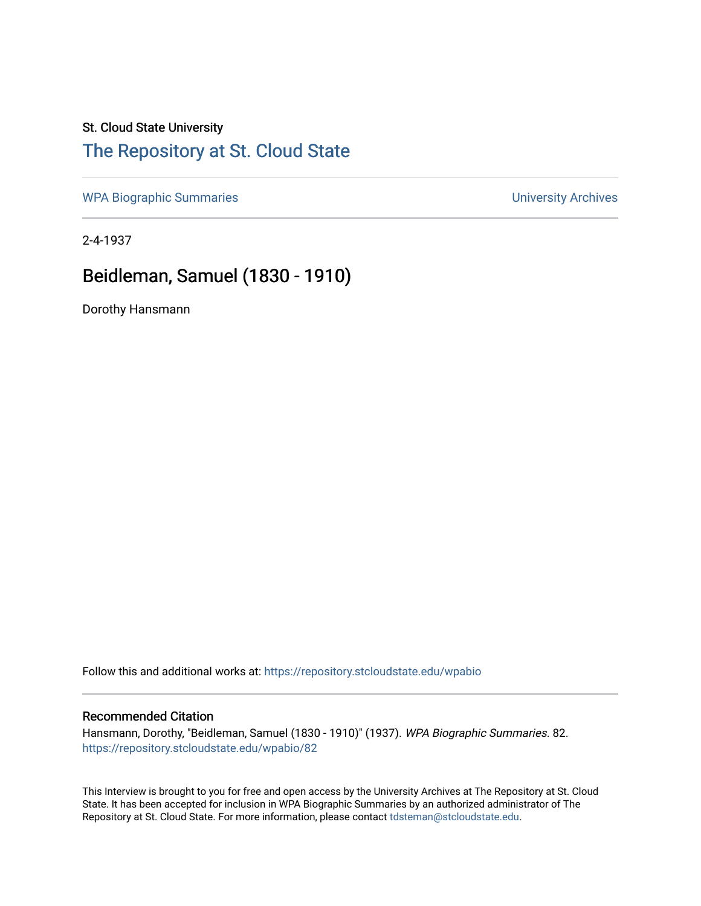## St. Cloud State University

## [The Repository at St. Cloud State](https://repository.stcloudstate.edu/)

[WPA Biographic Summaries](https://repository.stcloudstate.edu/wpabio) **WPA Biographic Summaries University Archives** 

2-4-1937

# Beidleman, Samuel (1830 - 1910)

Dorothy Hansmann

Follow this and additional works at: [https://repository.stcloudstate.edu/wpabio](https://repository.stcloudstate.edu/wpabio?utm_source=repository.stcloudstate.edu%2Fwpabio%2F82&utm_medium=PDF&utm_campaign=PDFCoverPages) 

#### Recommended Citation

Hansmann, Dorothy, "Beidleman, Samuel (1830 - 1910)" (1937). WPA Biographic Summaries. 82. [https://repository.stcloudstate.edu/wpabio/82](https://repository.stcloudstate.edu/wpabio/82?utm_source=repository.stcloudstate.edu%2Fwpabio%2F82&utm_medium=PDF&utm_campaign=PDFCoverPages)

This Interview is brought to you for free and open access by the University Archives at The Repository at St. Cloud State. It has been accepted for inclusion in WPA Biographic Summaries by an authorized administrator of The Repository at St. Cloud State. For more information, please contact [tdsteman@stcloudstate.edu.](mailto:tdsteman@stcloudstate.edu)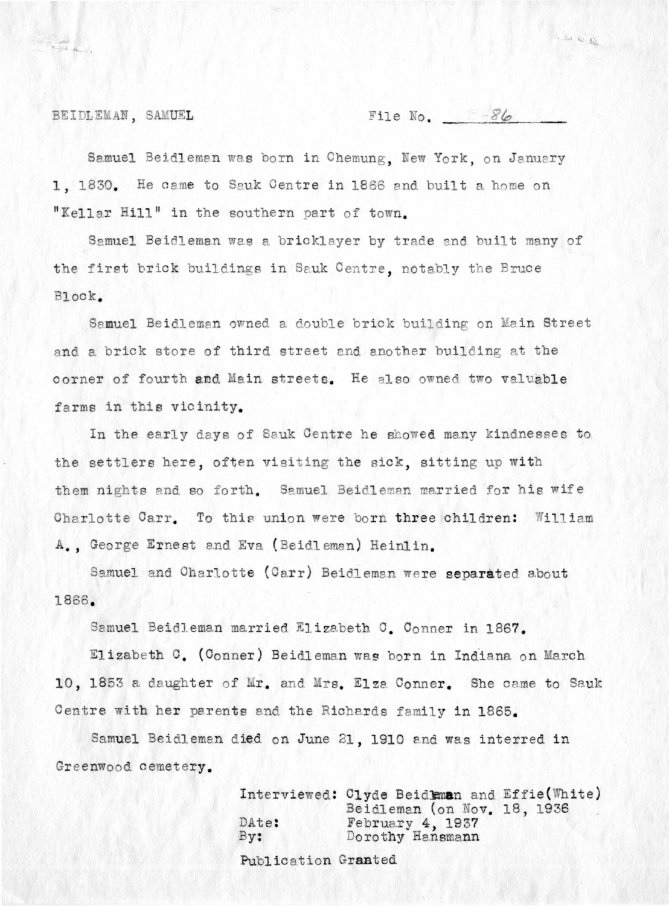BEIDLEMAN, SAMUEL

File No.  $36$ 

La la loi 13

Samuel Beidleman was born in Chemung, New York, on January 1, 1830. He came to Sauk Centre in 1866 and built a home on "Kellar Hill" in the southern part of town.

Samuel Beidleman was a bricklayer by trade and built many of the first brick buildings in Sauk Centre, notably the Bruce Block.

Samuel Beidleman owned a double brick building on Main Street and a brick store of third street and another building at the corner of fourth and Main streets. He also owned two valuable farms in this vicinity.

In the early days of Sauk Centre he showed many kindnesses to the settlers here, often visiting the sick, sitting up with them nights and so forth. Samuel Beidleman married for his wife Charlotte Carr. To this union were born three children: William A., George Ernest and Eva (Beidleman) Heinlin.

Samuel and Charlotte (Carr) Beidleman were separated about 1866.

Samuel Beidleman married Elizabeth C. Conner in 1867.

Elizabeth C. (Conner) Beidleman was born in Indiana on March 10, 1853 a daughter of Mr. and Mrs. Elza Conner. She came to Sauk Centre with her parents and the Richards family in 1865.

Samuel Beidleman died on June 21, 1910 and was interred in Greenwood cemetery.

> Interviewed: Clyde Beidleman and Effie (White) Beidleman (on Nov. 18, 1936 February 4, 1937 DAte:  $By:$ Dorothy Hansmann Publication Granted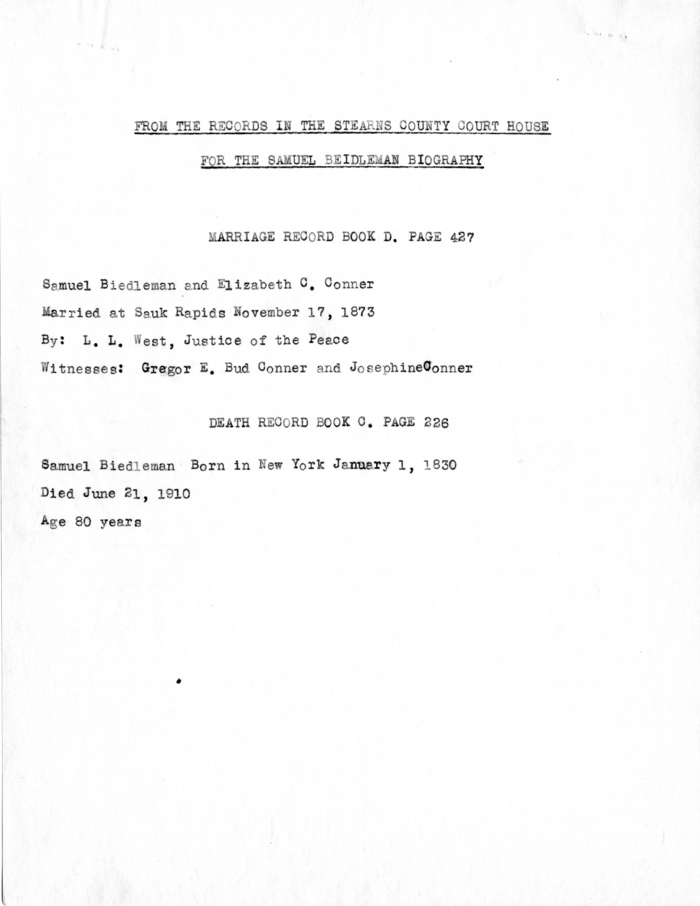### FROM THE RECORDS IN THE STEARNS COUNTY COURT HOUSE

 $-4$   $+6$   $+6$ 

### FOR THE SAMUEL BEIDLEMAN BIOGRAPHY

MARRIAGE RECORD BOOK D. PAGE 427

Samuel Biedleman and Elizabeth C. Conner Married at Sauk Rapids November 17, 1873 By: L. L. West, Justice of the Peace Witnesses: Gregor E. Bud Conner and JosephineConner

DEATH RECORD BOOK C. PAGE 226

Samuel Biedleman Born in New York January 1, 1830 Died June 21, 1910 Age 80 years